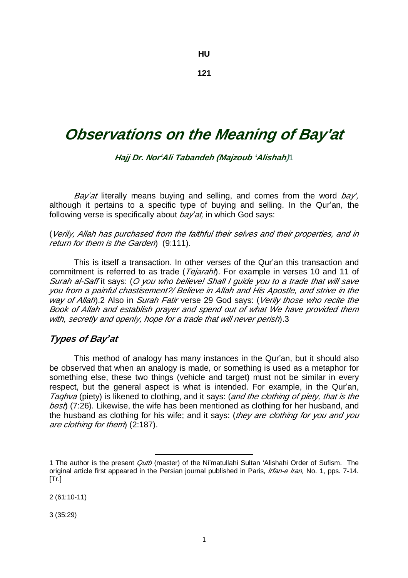#### **HU**

**121** 

# *Observations on the Meaning of Bay'at*

*Hajj Dr. Nor'Ali Tabandeh (Majzoub 'Alishah)*1

*Bay'at* literally means buying and selling, and comes from the word *bay',*  although it pertains to a specific type of buying and selling. In the Qur'an, the following verse is specifically about *bay'at,* in which God says:

(*Verily, Allah has purchased from the faithful their selves and their properties, and in return for them is the Garden*) (9:111).

This is itself a transaction. In other verses of the Qur'an this transaction and commitment is referred to as trade (*Tejaraht*). For example in verses 10 and 11 of *Surah al-Saff* it says: (*O you who believe! Shall <sup>I</sup> guide you to <sup>a</sup> trade that will save you from <sup>a</sup> painful chastisement?/ Believe in Allah and His Apostle, and strive in the way of Allah*).2 Also in *Surah Fatir* verse 29 God says: (*Verily those who recite the Book of Allah and establish prayer and spend out of what We have provided them with, secretly and openly, hope for a trade that will never perish*).3

### *Types of Bay'at*

This method of analogy has many instances in the Qur'an, but it should also be observed that when an analogy is made, or something is used as a metaphor for something else, these two things (vehicle and target) must not be similar in every respect, but the general aspect is what is intended. For example, in the Qur'an, *Taqhva* (piety) is likened to clothing, and it says: (*and the clothing of piety, that is the best*) (7:26). Likewise, the wife has been mentioned as clothing for her husband, and the husband as clothing for his wife; and it says: (*they are clothing for you and you are clothing for them*) (2:187).

 $\overline{a}$ 

2 (61:10-11)

3 (35:29)

<sup>1</sup> The author is the present *Qutb* (master) of the Ni'matullahi Sultan 'Alishahi Order of Sufism. The original article first appeared in the Persian journal published in Paris, *Irfan-e Iran,* No. 1, pps. 7-14.  $[Tr.]$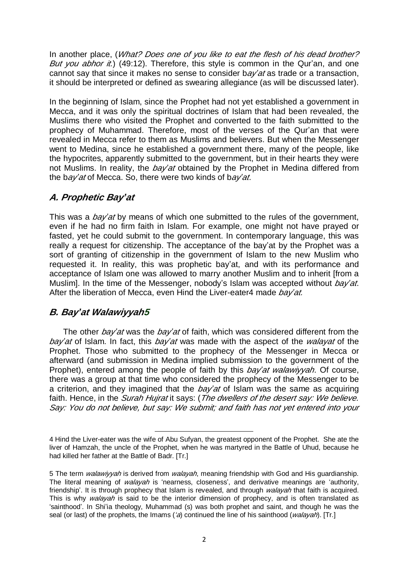In another place, (*What? Does one of you like to eat the flesh of his dead brother? But you abhor it.*) (49:12). Therefore, this style is common in the Qur'an, and one cannot say that since it makes no sense to consider b*ay'at* as trade or a transaction, it should be interpreted or defined as swearing allegiance (as will be discussed later).

In the beginning of Islam, since the Prophet had not yet established a government in Mecca, and it was only the spiritual doctrines of Islam that had been revealed, the Muslims there who visited the Prophet and converted to the faith submitted to the prophecy of Muhammad. Therefore, most of the verses of the Qur'an that were revealed in Mecca refer to them as Muslims and believers. But when the Messenger went to Medina, since he established a government there, many of the people, like the hypocrites, apparently submitted to the government, but in their hearts they were not Muslims. In reality, the *bay'at* obtained by the Prophet in Medina differed from the b*ay'at* of Mecca. So, there were two kinds of b*ay'at*.

# *A. Prophetic Bay'at*

This was a *bay'at* by means of which one submitted to the rules of the government, even if he had no firm faith in Islam. For example, one might not have prayed or fasted, yet he could submit to the government. In contemporary language, this was really a request for citizenship. The acceptance of the bay'at by the Prophet was a sort of granting of citizenship in the government of Islam to the new Muslim who requested it. In reality, this was prophetic bay'at, and with its performance and acceptance of Islam one was allowed to marry another Muslim and to inherit [from a Muslim]. In the time of the Messenger, nobody's Islam was accepted without *bay'at*. After the liberation of Mecca, even Hind the Liver-eater4 made *bay'at.* 

# *B. Bay'at Walawiyyah5*

The other *bay'at* was the *bay'at* of faith, which was considered different from the *bay'at* of Islam. In fact, this *bay'at* was made with the aspect of the *walayat* of the Prophet. Those who submitted to the prophecy of the Messenger in Mecca or afterward (and submission in Medina implied submission to the government of the Prophet), entered among the people of faith by this *bay'at walawiyyah*. Of course, there was a group at that time who considered the prophecy of the Messenger to be a criterion, and they imagined that the *bay'at* of Islam was the same as acquiring faith. Hence, in the *Surah Hujrat* it says: (*The dwellers of the desert say: We believe. Say: You do not believe, but say: We submit; and faith has not yet entered into your* 

l

<sup>4</sup> Hind the Liver-eater was the wife of Abu Sufyan, the greatest opponent of the Prophet. She ate the liver of Hamzah, the uncle of the Prophet, when he was martyred in the Battle of Uhud, because he had killed her father at the Battle of Badr. [Tr.]

<sup>5</sup> The term *walawiyyah* is derived from *walayah*, meaning friendship with God and His guardianship. The literal meaning of *walayah* is 'nearness, closeness', and derivative meanings are 'authority, friendship'. It is through prophecy that Islam is revealed, and through *walayah* that faith is acquired. This is why *walayah* is said to be the interior dimension of prophecy, and is often translated as 'sainthood'. In Shi'ia theology, Muhammad (s) was both prophet and saint, and though he was the seal (or last) of the prophets, the Imams (*'a*) continued the line of his sainthood (*walayah*). [Tr.]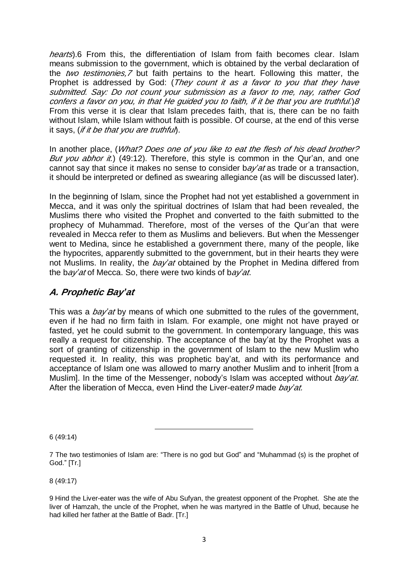*hearts*).6 From this, the differentiation of Islam from faith becomes clear. Islam means submission to the government, which is obtained by the verbal declaration of the *two testimonies,7* but faith pertains to the heart. Following this matter, the Prophet is addressed by God: (*They count it as <sup>a</sup> favor to you that they have submitted. Say: Do not count your submission as <sup>a</sup> favor to me, nay, rather God*  confers a favor on you, in that He quided you to faith, if it be that you are truthful.) 8 From this verse it is clear that Islam precedes faith, that is, there can be no faith without Islam, while Islam without faith is possible. Of course, at the end of this verse it says, (*if it be that you are truthful*).

In another place, (*What? Does one of you like to eat the flesh of his dead brother? But you abhor it.*) (49:12). Therefore, this style is common in the Qur'an, and one cannot say that since it makes no sense to consider b*ay'at* as trade or a transaction, it should be interpreted or defined as swearing allegiance (as will be discussed later).

In the beginning of Islam, since the Prophet had not yet established a government in Mecca, and it was only the spiritual doctrines of Islam that had been revealed, the Muslims there who visited the Prophet and converted to the faith submitted to the prophecy of Muhammad. Therefore, most of the verses of the Qur'an that were revealed in Mecca refer to them as Muslims and believers. But when the Messenger went to Medina, since he established a government there, many of the people, like the hypocrites, apparently submitted to the government, but in their hearts they were not Muslims. In reality, the *bay'at* obtained by the Prophet in Medina differed from the b*ay'at* of Mecca. So, there were two kinds of b*ay'at*.

# *A. Prophetic Bay'at*

This was a *bay'at* by means of which one submitted to the rules of the government, even if he had no firm faith in Islam. For example, one might not have prayed or fasted, yet he could submit to the government. In contemporary language, this was really a request for citizenship. The acceptance of the bay'at by the Prophet was a sort of granting of citizenship in the government of Islam to the new Muslim who requested it. In reality, this was prophetic bay'at, and with its performance and acceptance of Islam one was allowed to marry another Muslim and to inherit [from a Muslim]. In the time of the Messenger, nobody's Islam was accepted without *bay'at*. After the liberation of Mecca, even Hind the Liver-eater*9* made *bay'at.* 

6 (49:14)

 $\overline{a}$ 

8 (49:17)

9 Hind the Liver-eater was the wife of Abu Sufyan, the greatest opponent of the Prophet. She ate the liver of Hamzah, the uncle of the Prophet, when he was martyred in the Battle of Uhud, because he had killed her father at the Battle of Badr. [Tr.]

<sup>7</sup> The two testimonies of Islam are: "There is no god but God" and "Muhammad (s) is the prophet of God." [Tr.]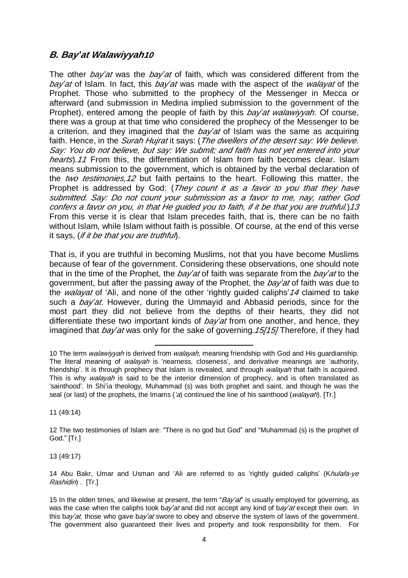# *B. Bay'at Walawiyyah<sup>10</sup>*

The other *bay'at* was the *bay'at* of faith, which was considered different from the *bay'at* of Islam. In fact, this *bay'at* was made with the aspect of the *walayat* of the Prophet. Those who submitted to the prophecy of the Messenger in Mecca or afterward (and submission in Medina implied submission to the government of the Prophet), entered among the people of faith by this *bay'at walawiyyah*. Of course, there was a group at that time who considered the prophecy of the Messenger to be a criterion, and they imagined that the *bay'at* of Islam was the same as acquiring faith. Hence, in the *Surah Hujrat* it says: (*The dwellers of the desert say: We believe. Say: You do not believe, but say: We submit; and faith has not yet entered into your hearts*).*11* From this, the differentiation of Islam from faith becomes clear. Islam means submission to the government, which is obtained by the verbal declaration of the *two testimonies,12* but faith pertains to the heart. Following this matter, the Prophet is addressed by God: (*They count it as <sup>a</sup> favor to you that they have submitted. Say: Do not count your submission as <sup>a</sup> favor to me, nay, rather God*  confers a favor on you, in that He quided you to faith, if it be that you are truthful.) 13 From this verse it is clear that Islam precedes faith, that is, there can be no faith without Islam, while Islam without faith is possible. Of course, at the end of this verse it says, (*if it be that you are truthful*).

That is, if you are truthful in becoming Muslims, not that you have become Muslims because of fear of the government. Considering these observations, one should note that in the time of the Prophet, the *bay'at* of faith was separate from the *bay'at* to the government, but after the passing away of the Prophet, the *bay'at* of faith was due to the *walayat* of 'Ali, and none of the other 'rightly guided caliphs'*<sup>14</sup>* claimed to take such a *bay'at*. However, during the Ummayid and Abbasid periods, since for the most part they did not believe from the depths of their hearts, they did not differentiate these two important kinds of *bay'at* from one another, and hence, they imagined that *bay'at* was only for the sake of governing.*15[15]* Therefore, if they had

11 (49:14)

13 (49:17)

l 10 The term *walawiyyah* is derived from *walayah*, meaning friendship with God and His guardianship. The literal meaning of *walayah* is 'nearness, closeness', and derivative meanings are 'authority, friendship'. It is through prophecy that Islam is revealed, and through *walayah* that faith is acquired. This is why *walayah* is said to be the interior dimension of prophecy, and is often translated as 'sainthood'. In Shi'ia theology, Muhammad (s) was both prophet and saint, and though he was the seal (or last) of the prophets, the Imams (*'a*) continued the line of his sainthood (*walayah*). [Tr.]

<sup>12</sup> The two testimonies of Islam are: "There is no god but God" and "Muhammad (s) is the prophet of God." [Tr.]

<sup>14</sup> Abu Bakr, Umar and Usman and 'Ali are referred to as 'rightly guided caliphs' (K*hulafa-ye Rashidin*) . [Tr.]

<sup>15</sup> In the olden times, and likewise at present, the term "*Bay'at*" is usually employed for governing, as was the case when the caliphs took b*ay'at* and did not accept any kind of b*ay'at* except their own. In this b*ay'at,* those who gave b*ay'at* swore to obey and observe the system of laws of the government. The government also guaranteed their lives and property and took responsibility for them. For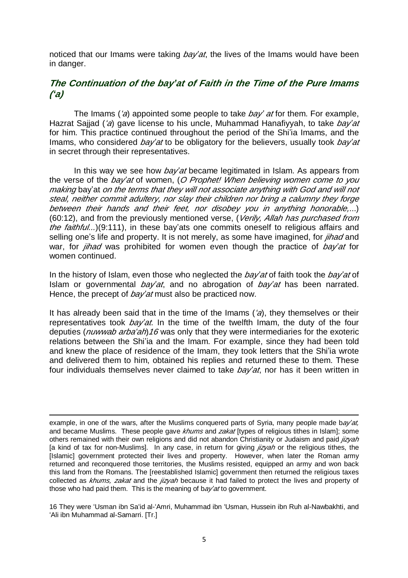noticed that our Imams were taking *bay'at*, the lives of the Imams would have been in danger.

### *The Continuation of the bay'at of Faith in the Time of the Pure Imams ('a)*

The Imams (*'a*) appointed some people to take *bay' at* for them. For example, Hazrat Sajjad (*'a*) gave license to his uncle, Muhammad Hanafiyyah, to take *bay'at*  for him. This practice continued throughout the period of the Shi'ia Imams, and the Imams, who considered *bay'at* to be obligatory for the believers, usually took *bay'at*  in secret through their representatives.

In this way we see how *bay'at* became legitimated in Islam. As appears from the verse of the *bay'at* of women, (*O Prophet! When believing women come to you making* bay'at *on the terms that they will not associate anything with God and will not steal, neither commit adultery, nor slay their children nor bring <sup>a</sup> calumny they forge between their hands and their feet, nor disobey you in anything honorable,*...) (60:12), and from the previously mentioned verse, (*Verily, Allah has purchased from the faithful...*)(9:111), in these bay'ats one commits oneself to religious affairs and selling one's life and property. It is not merely, as some have imagined, for *jihad* and war, for *jihad* was prohibited for women even though the practice of *bay'at* for women continued.

In the history of Islam, even those who neglected the *bay'at* of faith took the *bay'at* of Islam or governmental *bay'at*, and no abrogation of *bay'at* has been narrated. Hence, the precept of *bay'at* must also be practiced now.

It has already been said that in the time of the Imams (*'a*), they themselves or their representatives took *bay'at*. In the time of the twelfth Imam, the duty of the four deputies (*nuwwab arba'ah*)*16* was only that they were intermediaries for the exoteric relations between the Shi'ia and the Imam. For example, since they had been told and knew the place of residence of the Imam, they took letters that the Shi'ia wrote and delivered them to him, obtained his replies and returned these to them. These four individuals themselves never claimed to take *bay'at*, nor has it been written in

 $\overline{a}$ 

16 They were 'Usman ibn Sa'id al-'Amri, Muhammad ibn 'Usman, Hussein ibn Ruh al-Nawbakhti, and 'Ali ibn Muhammad al-Samarri. [Tr.]

example, in one of the wars, after the Muslims conquered parts of Syria, many people made b*ay'at,*  and became Muslims. These people gave *khums* and *zakat* [types of religious tithes in Islam]; some others remained with their own religions and did not abandon Christianity or Judaism and paid *jizyah*  [a kind of tax for non-Muslims]. In any case, in return for giving *jizyah* or the religious tithes, the [Islamic] government protected their lives and property. However, when later the Roman army returned and reconquered those territories, the Muslims resisted, equipped an army and won back this land from the Romans. The [reestablished Islamic] government then returned the religious taxes collected as *khums, zakat* and the *jizyah* because it had failed to protect the lives and property of those who had paid them. This is the meaning of b*ay'at* to government.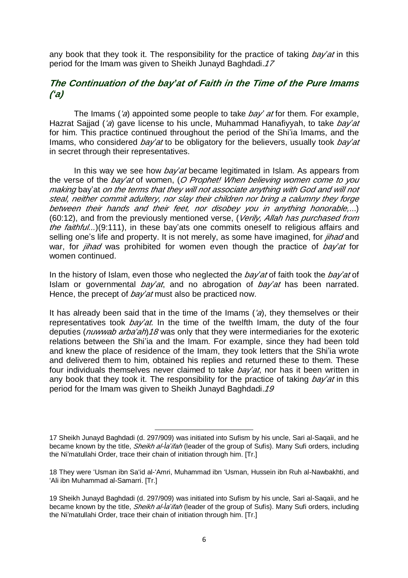any book that they took it. The responsibility for the practice of taking *bay'at* in this period for the Imam was given to Sheikh Junayd Baghdadi.*17*

### *The Continuation of the bay'at of Faith in the Time of the Pure Imams ('a)*

The Imams (*'a*) appointed some people to take *bay' at* for them. For example, Hazrat Sajjad (*'a*) gave license to his uncle, Muhammad Hanafiyyah, to take *bay'at*  for him. This practice continued throughout the period of the Shi'ia Imams, and the Imams, who considered *bay'at* to be obligatory for the believers, usually took *bay'at*  in secret through their representatives.

In this way we see how *bay'at* became legitimated in Islam. As appears from the verse of the *bay'at* of women, (*O Prophet! When believing women come to you making* bay'at *on the terms that they will not associate anything with God and will not steal, neither commit adultery, nor slay their children nor bring <sup>a</sup> calumny they forge between their hands and their feet, nor disobey you in anything honorable,*...) (60:12), and from the previously mentioned verse, (*Verily, Allah has purchased from the faithful...*)(9:111), in these bay'ats one commits oneself to religious affairs and selling one's life and property. It is not merely, as some have imagined, for *jihad* and war, for *jihad* was prohibited for women even though the practice of *bay'at* for women continued.

In the history of Islam, even those who neglected the *bay'at* of faith took the *bay'at* of Islam or governmental *bay'at*, and no abrogation of *bay'at* has been narrated. Hence, the precept of *bay'at* must also be practiced now.

It has already been said that in the time of the Imams (*'a*), they themselves or their representatives took *bay'at*. In the time of the twelfth Imam, the duty of the four deputies (*nuwwab arba'ah*)*18* was only that they were intermediaries for the exoteric relations between the Shi'ia and the Imam. For example, since they had been told and knew the place of residence of the Imam, they took letters that the Shi'ia wrote and delivered them to him, obtained his replies and returned these to them. These four individuals themselves never claimed to take *bay'at*, nor has it been written in any book that they took it. The responsibility for the practice of taking *bay'at* in this period for the Imam was given to Sheikh Junayd Baghdadi.*19*

l

<sup>17</sup> Sheikh Junayd Baghdadi (d. 297/909) was initiated into Sufism by his uncle, Sari al-Saqaìi, and he became known by the title, *Sheikh al-Ìa'ifah* (leader of the group of Sufis). Many Sufi orders, including the Ni'matullahi Order, trace their chain of initiation through him. [Tr.]

<sup>18</sup> They were 'Usman ibn Sa'id al-'Amri, Muhammad ibn 'Usman, Hussein ibn Ruh al-Nawbakhti, and 'Ali ibn Muhammad al-Samarri. [Tr.]

<sup>19</sup> Sheikh Junayd Baghdadi (d. 297/909) was initiated into Sufism by his uncle, Sari al-Saqaìi, and he became known by the title, *Sheikh al-Ìa'ifah* (leader of the group of Sufis). Many Sufi orders, including the Ni'matullahi Order, trace their chain of initiation through him. [Tr.]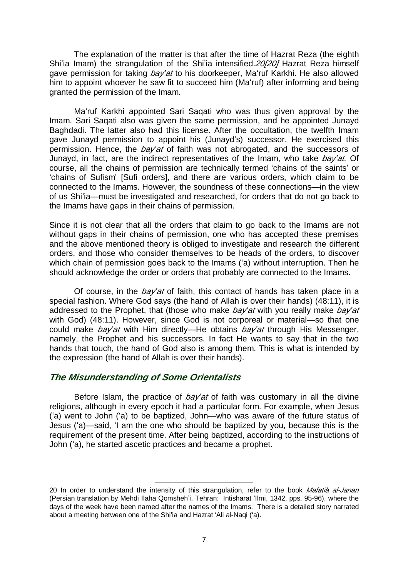The explanation of the matter is that after the time of Hazrat Reza (the eighth Shi'ia Imam) the strangulation of the Shi'ia intensified.*20[20]* Hazrat Reza himself gave permission for taking *bay'at* to his doorkeeper, Ma'ruf Karkhi. He also allowed him to appoint whoever he saw fit to succeed him (Ma'ruf) after informing and being granted the permission of the Imam.

Ma'ruf Karkhi appointed Sari Saqati who was thus given approval by the Imam. Sari Saqati also was given the same permission, and he appointed Junayd Baghdadi. The latter also had this license. After the occultation, the twelfth Imam gave Junayd permission to appoint his (Junayd's) successor. He exercised this permission. Hence, the *bay'at* of faith was not abrogated, and the successors of Junayd, in fact, are the indirect representatives of the Imam, who take *bay'at.* Of course, all the chains of permission are technically termed 'chains of the saints' or 'chains of Sufism' [Sufi orders], and there are various orders, which claim to be connected to the Imams. However, the soundness of these connections—in the view of us Shi'ia—must be investigated and researched, for orders that do not go back to the Imams have gaps in their chains of permission.

Since it is not clear that all the orders that claim to go back to the Imams are not without gaps in their chains of permission, one who has accepted these premises and the above mentioned theory is obliged to investigate and research the different orders, and those who consider themselves to be heads of the orders, to discover which chain of permission goes back to the Imams ('a) without interruption. Then he should acknowledge the order or orders that probably are connected to the Imams.

Of course, in the *bay'at* of faith, this contact of hands has taken place in a special fashion. Where God says (the hand of Allah is over their hands) (48:11), it is addressed to the Prophet, that (those who make *bay'at* with you really make *bay'at*  with God) (48:11). However, since God is not corporeal or material—so that one could make *bay'at* with Him directly—He obtains *bay'at* through His Messenger, namely, the Prophet and his successors. In fact He wants to say that in the two hands that touch, the hand of God also is among them. This is what is intended by the expression (the hand of Allah is over their hands).

#### *The Misunderstanding of Some Orientalists*

l

Before Islam, the practice of *bay'at* of faith was customary in all the divine religions, although in every epoch it had a particular form. For example, when Jesus ('a) went to John ('a) to be baptized, John—who was aware of the future status of Jesus ('a)—said, 'I am the one who should be baptized by you, because this is the requirement of the present time. After being baptized, according to the instructions of John ('a), he started ascetic practices and became a prophet.

<sup>20</sup> In order to understand the intensity of this strangulation, refer to the book *Mafatiå al-Janan*  (Persian translation by Mehdi Ilaha Qomsheh'i, Tehran: Intisharat 'Ilmi, 1342, pps. 95-96), where the days of the week have been named after the names of the Imams. There is a detailed story narrated about a meeting between one of the Shi'ia and Hazrat 'Ali al-Naqi ('a).